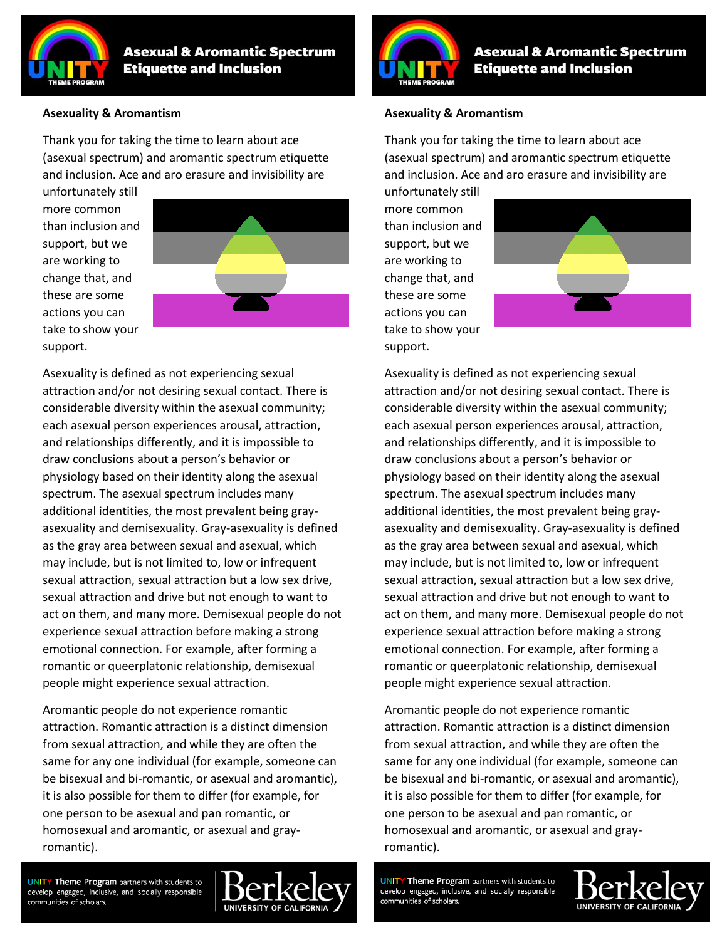

**Asexual & Aromantic Spectrum Etiquette and Inclusion** 

#### **Asexuality & Aromantism**

Thank you for taking the time to learn about ace (asexual spectrum) and aromantic spectrum etiquette and inclusion. Ace and aro erasure and invisibility are

unfortunately still more common than inclusion and support, but we are working to change that, and these are some actions you can take to show your support.



Asexuality is defined as not experiencing sexual attraction and/or not desiring sexual contact. There is considerable diversity within the asexual community; each asexual person experiences arousal, attraction, and relationships differently, and it is impossible to draw conclusions about a person's behavior or physiology based on their identity along the asexual spectrum. The asexual spectrum includes many additional identities, the most prevalent being grayasexuality and demisexuality. Gray-asexuality is defined as the gray area between sexual and asexual, which may include, but is not limited to, low or infrequent sexual attraction, sexual attraction but a low sex drive, sexual attraction and drive but not enough to want to act on them, and many more. Demisexual people do not experience sexual attraction before making a strong emotional connection. For example, after forming a romantic or queerplatonic relationship, demisexual people might experience sexual attraction.

Aromantic people do not experience romantic attraction. Romantic attraction is a distinct dimension from sexual attraction, and while they are often the same for any one individual (for example, someone can be bisexual and bi-romantic, or asexual and aromantic), it is also possible for them to differ (for example, for one person to be asexual and pan romantic, or homosexual and aromantic, or asexual and grayromantic).

**Asexual & Aromantic Spectrum Etiquette and Inclusion** 

#### **Asexuality & Aromantism**

Thank you for taking the time to learn about ace (asexual spectrum) and aromantic spectrum etiquette and inclusion. Ace and aro erasure and invisibility are

unfortunately still more common than inclusion and support, but we are working to change that, and these are some actions you can take to show your support.



Asexuality is defined as not experiencing sexual attraction and/or not desiring sexual contact. There is considerable diversity within the asexual community; each asexual person experiences arousal, attraction, and relationships differently, and it is impossible to draw conclusions about a person's behavior or physiology based on their identity along the asexual spectrum. The asexual spectrum includes many additional identities, the most prevalent being grayasexuality and demisexuality. Gray-asexuality is defined as the gray area between sexual and asexual, which may include, but is not limited to, low or infrequent sexual attraction, sexual attraction but a low sex drive, sexual attraction and drive but not enough to want to act on them, and many more. Demisexual people do not experience sexual attraction before making a strong emotional connection. For example, after forming a romantic or queerplatonic relationship, demisexual people might experience sexual attraction.

Aromantic people do not experience romantic attraction. Romantic attraction is a distinct dimension from sexual attraction, and while they are often the same for any one individual (for example, someone can be bisexual and bi-romantic, or asexual and aromantic), it is also possible for them to differ (for example, for one person to be asexual and pan romantic, or homosexual and aromantic, or asexual and grayromantic).

**UNITY Theme Program** partners with students to develop engaged, inclusive, and socially responsible communities of scholars



**UNITY Theme Program** partners with students to develop engaged, inclusive, and socially responsible communities of scholars.